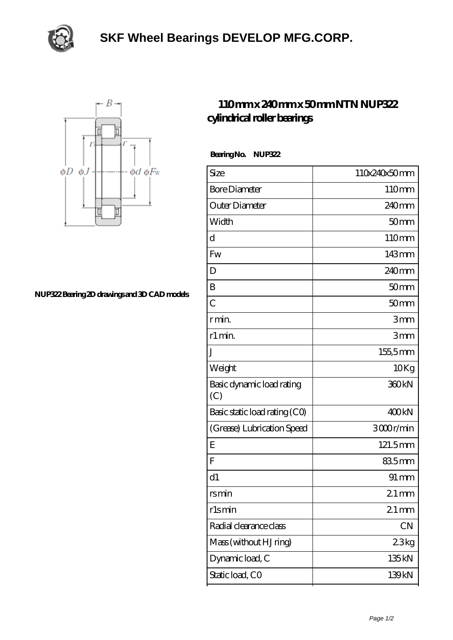

## **[SKF Wheel Bearings DEVELOP MFG.CORP.](https://m.subww.com)**



## **[NUP322 Bearing 2D drawings and 3D CAD models](https://m.subww.com/pic-163935.html)**

## **[110 mm x 240 mm x 50 mm NTN NUP322](https://m.subww.com/al-163935-ntn-nup322-cylindrical-roller-bearings.html) [cylindrical roller bearings](https://m.subww.com/al-163935-ntn-nup322-cylindrical-roller-bearings.html)**

 **Bearing No. NUP322**

| Size                             | 110x240x50mm       |
|----------------------------------|--------------------|
| <b>Bore Diameter</b>             | 110mm              |
| Outer Diameter                   | 240 <sub>mm</sub>  |
| Width                            | 50 <sub>mm</sub>   |
| d                                | 110mm              |
| Fw                               | 143mm              |
| D                                | 240 <sub>mm</sub>  |
| B                                | 50 <sub>mm</sub>   |
| $\overline{C}$                   | 50 <sub>mm</sub>   |
| r min.                           | 3mm                |
| r1 min.                          | 3mm                |
| J                                | $155,5$ mm         |
| Weight                           | 10Kg               |
| Basic dynamic load rating<br>(C) | 360 <sub>kN</sub>  |
| Basic static load rating (CO)    | 400kN              |
| (Grease) Lubrication Speed       | 3000r/min          |
| Ε                                | 121.5mm            |
| F                                | 835mm              |
| d1                               | $91 \,\mathrm{mm}$ |
| rs min                           | $21 \,\mathrm{mm}$ |
| rlsmin                           | $21 \,\mathrm{mm}$ |
| Radial clearance class           | CN                 |
| Mass (without HJ ring)           | 23kg               |
| Dynamic load, C                  | 135kN              |
| Static load, CO                  | 139kN              |
|                                  |                    |